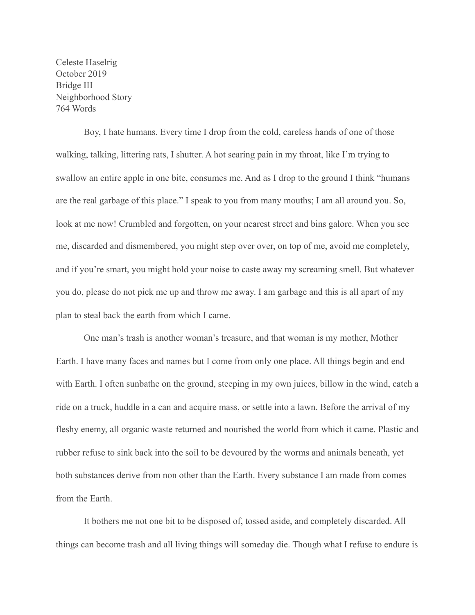Celeste Haselrig October 2019 Bridge III Neighborhood Story 764 Words

 Boy, I hate humans. Every time I drop from the cold, careless hands of one of those walking, talking, littering rats, I shutter. A hot searing pain in my throat, like I'm trying to swallow an entire apple in one bite, consumes me. And as I drop to the ground I think "humans are the real garbage of this place." I speak to you from many mouths; I am all around you. So, look at me now! Crumbled and forgotten, on your nearest street and bins galore. When you see me, discarded and dismembered, you might step over over, on top of me, avoid me completely, and if you're smart, you might hold your noise to caste away my screaming smell. But whatever you do, please do not pick me up and throw me away. I am garbage and this is all apart of my plan to steal back the earth from which I came.

 One man's trash is another woman's treasure, and that woman is my mother, Mother Earth. I have many faces and names but I come from only one place. All things begin and end with Earth. I often sunbathe on the ground, steeping in my own juices, billow in the wind, catch a ride on a truck, huddle in a can and acquire mass, or settle into a lawn. Before the arrival of my fleshy enemy, all organic waste returned and nourished the world from which it came. Plastic and rubber refuse to sink back into the soil to be devoured by the worms and animals beneath, yet both substances derive from non other than the Earth. Every substance I am made from comes from the Earth

 It bothers me not one bit to be disposed of, tossed aside, and completely discarded. All things can become trash and all living things will someday die. Though what I refuse to endure is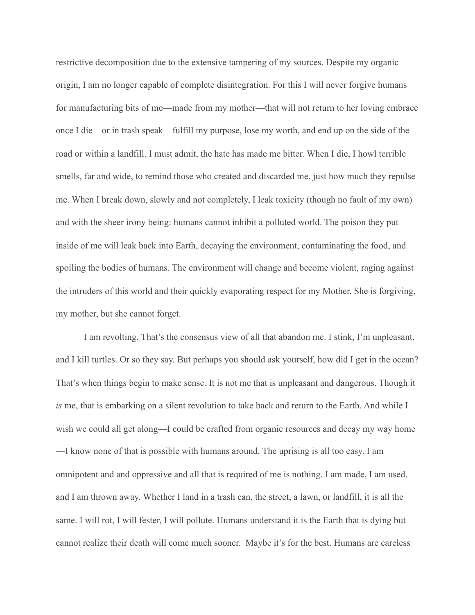restrictive decomposition due to the extensive tampering of my sources. Despite my organic origin, I am no longer capable of complete disintegration. For this I will never forgive humans for manufacturing bits of me—made from my mother—that will not return to her loving embrace once I die—or in trash speak—fulfill my purpose, lose my worth, and end up on the side of the road or within a landfill. I must admit, the hate has made me bitter. When I die, I howl terrible smells, far and wide, to remind those who created and discarded me, just how much they repulse me. When I break down, slowly and not completely, I leak toxicity (though no fault of my own) and with the sheer irony being: humans cannot inhibit a polluted world. The poison they put inside of me will leak back into Earth, decaying the environment, contaminating the food, and spoiling the bodies of humans. The environment will change and become violent, raging against the intruders of this world and their quickly evaporating respect for my Mother. She is forgiving, my mother, but she cannot forget.

 I am revolting. That's the consensus view of all that abandon me. I stink, I'm unpleasant, and I kill turtles. Or so they say. But perhaps you should ask yourself, how did I get in the ocean? That's when things begin to make sense. It is not me that is unpleasant and dangerous. Though it *is* me, that is embarking on a silent revolution to take back and return to the Earth. And while I wish we could all get along—I could be crafted from organic resources and decay my way home —I know none of that is possible with humans around. The uprising is all too easy. I am omnipotent and and oppressive and all that is required of me is nothing. I am made, I am used, and I am thrown away. Whether I land in a trash can, the street, a lawn, or landfill, it is all the same. I will rot, I will fester, I will pollute. Humans understand it is the Earth that is dying but cannot realize their death will come much sooner. Maybe it's for the best. Humans are careless